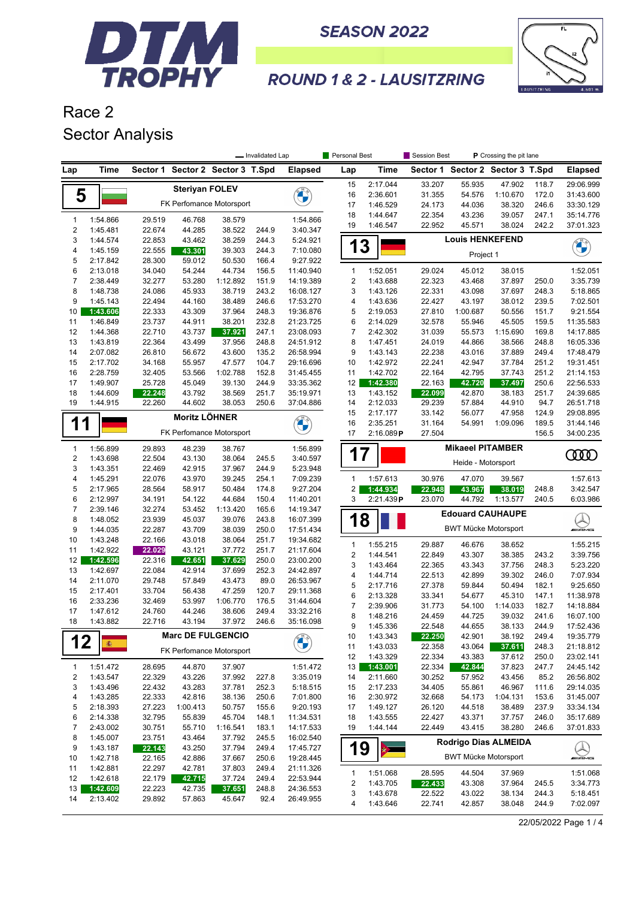



#### **ROUND 1 & 2 - LAUSITZRING**

## Race 2 Sector Analysis

|              |                      |                  |                       |                                  | - Invalidated Lap |                        | Personal Best           |                      | Session Best     | P Crossing the pit lane     |                                  |                |                        |
|--------------|----------------------|------------------|-----------------------|----------------------------------|-------------------|------------------------|-------------------------|----------------------|------------------|-----------------------------|----------------------------------|----------------|------------------------|
| Lap          | Time                 |                  |                       | Sector 1 Sector 2 Sector 3 T.Spd |                   | <b>Elapsed</b>         | Lap                     | Time                 |                  |                             | Sector 1 Sector 2 Sector 3 T.Spd |                | <b>Elapsed</b>         |
|              |                      |                  | <b>Steriyan FOLEV</b> |                                  |                   |                        | 15                      | 2:17.044             | 33.207           | 55.935                      | 47.902                           | 118.7          | 29:06.999              |
| 5            |                      |                  |                       |                                  |                   |                        | 16                      | 2:36.601             | 31.355           | 54.576                      | 1:10.670                         | 172.0          | 31:43.600              |
|              |                      |                  |                       | FK Perfomance Motorsport         |                   |                        | 17                      | 1:46.529             | 24.173           | 44.036                      | 38.320                           | 246.6          | 33:30.129              |
| $\mathbf{1}$ | 1:54.866             | 29.519           | 46.768                | 38.579                           |                   | 1:54.866               | 18                      | 1:44.647             | 22.354           | 43.236                      | 39.057                           | 247.1          | 35:14.776              |
| $\sqrt{2}$   | 1:45.481             | 22.674           | 44.285                | 38.522                           | 244.9             | 3:40.347               | 19                      | 1:46.547             | 22.952           | 45.571                      | 38.024                           | 242.2          | 37:01.323              |
| 3            | 1:44.574             | 22.853           | 43.462                | 38.259                           | 244.3             | 5:24.921               |                         |                      |                  | <b>Louis HENKEFEND</b>      |                                  |                |                        |
| 4            | 1:45.159             | 22.555           | 43.301                | 39.303                           | 244.3             | 7:10.080               | 13                      |                      |                  | Project 1                   |                                  |                |                        |
| 5            | 2:17.842             | 28.300           | 59.012                | 50.530                           | 166.4             | 9:27.922               |                         |                      |                  |                             |                                  |                |                        |
| 6            | 2:13.018             | 34.040           | 54.244                | 44.734                           | 156.5             | 11:40.940              | $\mathbf{1}$            | 1:52.051             | 29.024           | 45.012                      | 38.015                           |                | 1:52.051               |
| 7            | 2:38.449             | 32.277           | 53.280                | 1:12.892                         | 151.9             | 14:19.389              | $\overline{\mathbf{c}}$ | 1:43.688             | 22.323           | 43.468                      | 37.897                           | 250.0          | 3:35.739               |
| 8            | 1:48.738             | 24.086           | 45.933                | 38.719                           | 243.2             | 16:08.127              | 3                       | 1:43.126             | 22.331           | 43.098                      | 37.697                           | 248.3          | 5:18.865               |
| 9<br>10      | 1:45.143<br>1:43.606 | 22.494<br>22.333 | 44.160<br>43.309      | 38.489<br>37.964                 | 246.6<br>248.3    | 17:53.270              | 4<br>5                  | 1:43.636<br>2:19.053 | 22.427<br>27.810 | 43.197<br>1:00.687          | 38.012<br>50.556                 | 239.5<br>151.7 | 7:02.501               |
| 11           | 1:46.849             | 23.737           | 44.911                | 38.201                           | 232.8             | 19:36.876<br>21:23.725 | 6                       | 2:14.029             | 32.578           | 55.946                      | 45.505                           | 159.5          | 9:21.554<br>11:35.583  |
| 12           | 1:44.368             | 22.710           | 43.737                | 37.921                           | 247.1             | 23:08.093              | 7                       | 2:42.302             | 31.039           | 55.573                      | 1:15.690                         | 169.8          | 14:17.885              |
| 13           | 1:43.819             | 22.364           | 43.499                | 37.956                           | 248.8             | 24:51.912              | 8                       | 1:47.451             | 24.019           | 44.866                      | 38.566                           | 248.8          | 16:05.336              |
| 14           | 2:07.082             | 26.810           | 56.672                | 43.600                           | 135.2             | 26:58.994              | 9                       | 1:43.143             | 22.238           | 43.016                      | 37.889                           | 249.4          | 17:48.479              |
| 15           | 2:17.702             | 34.168           | 55.957                | 47.577                           | 104.7             | 29:16.696              | 10                      | 1:42.972             | 22.241           | 42.947                      | 37.784                           | 251.2          | 19:31.451              |
| 16           | 2:28.759             | 32.405           | 53.566                | 1:02.788                         | 152.8             | 31:45.455              | 11                      | 1:42.702             | 22.164           | 42.795                      | 37.743                           | 251.2          | 21:14.153              |
| 17           | 1:49.907             | 25.728           | 45.049                | 39.130                           | 244.9             | 33:35.362              | 12                      | 1:42.380             | 22.163           | 42.720                      | 37.497                           | 250.6          | 22:56.533              |
| 18           | 1:44.609             | 22.248           | 43.792                | 38.569                           | 251.7             | 35:19.971              | 13                      | 1:43.152             | 22.099           | 42.870                      | 38.183                           | 251.7          | 24:39.685              |
| 19           | 1:44.915             | 22.260           | 44.602                | 38.053                           | 250.6             | 37:04.886              | 14                      | 2:12.033             | 29.239           | 57.884                      | 44.910                           | 94.7           | 26:51.718              |
|              |                      |                  | <b>Moritz LÖHNER</b>  |                                  |                   |                        | 15                      | 2:17.177             | 33.142           | 56.077                      | 47.958                           | 124.9          | 29:08.895              |
| 1            |                      |                  |                       | FK Perfomance Motorsport         |                   | <b>CALCIO</b>          | 16                      | 2:35.251             | 31.164           | 54.991                      | 1:09.096                         | 189.5          | 31:44.146              |
|              |                      |                  |                       |                                  |                   |                        | 17                      | 2:16.089P            | 27.504           |                             |                                  | 156.5          | 34:00.235              |
| $\mathbf{1}$ | 1:56.899             | 29.893           | 48.239                | 38.767                           |                   | 1:56.899               | 17                      |                      |                  | <b>Mikaeel PITAMBER</b>     |                                  |                | ഝ                      |
| 2            | 1:43.698             | 22.504           | 43.130                | 38.064                           | 245.5             | 3:40.597               |                         |                      |                  | Heide - Motorsport          |                                  |                |                        |
| 3            | 1:43.351             | 22.469           | 42.915                | 37.967                           | 244.9             | 5:23.948               |                         |                      |                  |                             |                                  |                |                        |
| 4            | 1:45.291             | 22.076           | 43.970                | 39.245                           | 254.1             | 7:09.239               | $\mathbf{1}$            | 1:57.613             | 30.976           | 47.070                      | 39.567                           |                | 1:57.613               |
| 5            | 2:17.965             | 28.564           | 58.917                | 50.484                           | 174.8             | 9:27.204               | $\overline{c}$<br>3     | 1:44.934             | 22.948           | 43.967                      | 38.019                           | 248.8          | 3:42.547               |
| 6<br>7       | 2:12.997<br>2:39.146 | 34.191<br>32.274 | 54.122<br>53.452      | 44.684<br>1:13.420               | 150.4<br>165.6    | 11:40.201<br>14:19.347 |                         | 2:21.439P            | 23.070           | 44.792                      | 1:13.577                         | 240.5          | 6:03.986               |
| 8            | 1:48.052             | 23.939           | 45.037                | 39.076                           | 243.8             | 16:07.399              | 1                       | 8                    |                  |                             | <b>Edouard CAUHAUPE</b>          |                |                        |
| 9            | 1:44.035             | 22.287           | 43.709                | 38.039                           | 250.0             | 17:51.434              |                         |                      |                  | <b>BWT Mücke Motorsport</b> |                                  |                | <b>WAME</b>            |
| 10           | 1:43.248             | 22.166           | 43.018                | 38.064                           | 251.7             | 19:34.682              |                         |                      |                  |                             |                                  |                |                        |
| 11           | 1:42.922             | 22.029           | 43.121                | 37.772                           | 251.7             | 21:17.604              | 1                       | 1:55.215             | 29.887           | 46.676                      | 38.652                           |                | 1:55.215               |
| 12           | 1:42.596             | 22.316           | 42.651                | 37.629                           | 250.0             | 23:00.200              | $\overline{c}$<br>3     | 1:44.541<br>1:43.464 | 22.849<br>22.365 | 43.307<br>43.343            | 38.385<br>37.756                 | 243.2<br>248.3 | 3:39.756<br>5:23.220   |
| 13           | 1:42.697             | 22.084           | 42.914                | 37.699                           | 252.3             | 24:42.897              | 4                       | 1:44.714             | 22.513           | 42.899                      | 39.302                           | 246.0          | 7:07.934               |
| 14           | 2:11.070             | 29.748           | 57.849                | 43.473                           | 89.0              | 26:53.967              | 5                       | 2:17.716             | 27.378           | 59.844                      | 50.494                           | 182.1          | 9:25.650               |
| 15           | 2:17.401             | 33.704           | 56.438                | 47.259                           | 120.7             | 29:11.368              | 6                       | 2:13.328             | 33.341           | 54.677                      | 45.310                           | 147.1          | 11:38.978              |
| 16           | 2:33.236             | 32.469           | 53.997                | 1:06.770                         | 176.5             | 31:44.604              | $\overline{7}$          | 2:39.906             | 31.773           | 54.100                      | 1:14.033                         | 182.7          | 14:18.884              |
| 17           | 1:47.612             | 24.760           | 44.246                | 38.606                           | 249.4             | 33:32.216              | 8                       | 1:48.216             | 24.459           | 44.725                      | 39.032                           | 241.6          | 16:07.100              |
| 18           | 1:43.882             | 22.716           | 43.194                | 37.972                           | 246.6             | 35:16.098              | 9                       | 1:45.336             | 22.548           | 44.655                      | 38.133                           | 244.9          | 17:52.436              |
|              |                      |                  |                       | <b>Marc DE FULGENCIO</b>         |                   | ON A                   | 10                      | 1:43.343             | 22.250           | 42.901                      | 38.192                           | 249.4          | 19:35.779              |
| 12           | <b>图</b>             |                  |                       | FK Perfomance Motorsport         |                   |                        | 11                      | 1:43.033             | 22.358           | 43.064                      | 37.611                           | 248.3          | 21:18.812              |
|              |                      |                  |                       |                                  |                   |                        | 12                      | 1:43.329             | 22.334           | 43.383                      | 37.612                           | 250.0          | 23:02.141              |
| $\mathbf{1}$ | 1:51.472             | 28.695           | 44.870                | 37.907                           |                   | 1:51.472               | 13                      | 1:43.001             | 22.334           | 42.844                      | 37.823                           | 247.7          | 24:45.142              |
| 2            | 1:43.547             | 22.329           | 43.226                | 37.992                           | 227.8             | 3:35.019               | 14                      | 2:11.660             | 30.252           | 57.952                      | 43.456                           | 85.2           | 26:56.802              |
| 3            | 1:43.496             | 22.432           | 43.283                | 37.781                           | 252.3             | 5:18.515               | 15                      | 2:17.233             | 34.405           | 55.861                      | 46.967                           | 111.6          | 29:14.035              |
| 4            | 1:43.285             | 22.333           | 42.816                | 38.136                           | 250.6             | 7:01.800               | 16                      | 2:30.972             | 32.668           | 54.173                      | 1:04.131                         | 153.6          | 31:45.007              |
| 5<br>6       | 2:18.393<br>2:14.338 | 27.223<br>32.795 | 1:00.413<br>55.839    | 50.757<br>45.704                 | 155.6<br>148.1    | 9:20.193<br>11:34.531  | 17<br>18                | 1:49.127<br>1:43.555 | 26.120<br>22.427 | 44.518<br>43.371            | 38.489<br>37.757                 | 237.9<br>246.0 | 33:34.134<br>35:17.689 |
| 7            | 2:43.002             | 30.751           | 55.710                | 1:16.541                         | 183.1             | 14:17.533              | 19                      | 1:44.144             | 22.449           | 43.415                      | 38.280                           | 246.6          | 37:01.833              |
| 8            | 1:45.007             | 23.751           | 43.464                | 37.792                           | 245.5             | 16:02.540              |                         |                      |                  |                             |                                  |                |                        |
| 9            | 1:43.187             | 22.143           | 43.250                | 37.794                           | 249.4             | 17:45.727              | 19                      | ★二                   |                  |                             | Rodrigo Dias ALMEIDA             |                |                        |
| 10           | 1:42.718             | 22.165           | 42.886                | 37.667                           | 250.6             | 19:28.445              |                         |                      |                  | <b>BWT Mücke Motorsport</b> |                                  |                | <i><b>MILENE</b></i>   |
| 11           | 1:42.881             | 22.297           | 42.781                | 37.803                           | 249.4             | 21:11.326              |                         |                      |                  |                             |                                  |                |                        |
| 12           | 1:42.618             | 22.179           | 42.715                | 37.724                           | 249.4             | 22:53.944              | 1                       | 1:51.068             | 28.595           | 44.504                      | 37.969                           |                | 1:51.068               |
| 13           | 1:42.609             | 22.223           | 42.735                | 37.651                           | 248.8             | 24:36.553              | 2<br>3                  | 1:43.705<br>1:43.678 | 22.433<br>22.522 | 43.308<br>43.022            | 37.964<br>38.134                 | 245.5<br>244.3 | 3:34.773<br>5:18.451   |
| 14           | 2:13.402             | 29.892           | 57.863                | 45.647                           | 92.4              | 26:49.955              | 4                       | 1:43.646             | 22.741           | 42.857                      | 38.048                           | 244.9          | 7:02.097               |
|              |                      |                  |                       |                                  |                   |                        |                         |                      |                  |                             |                                  |                |                        |

22/05/2022 Page 1 / 4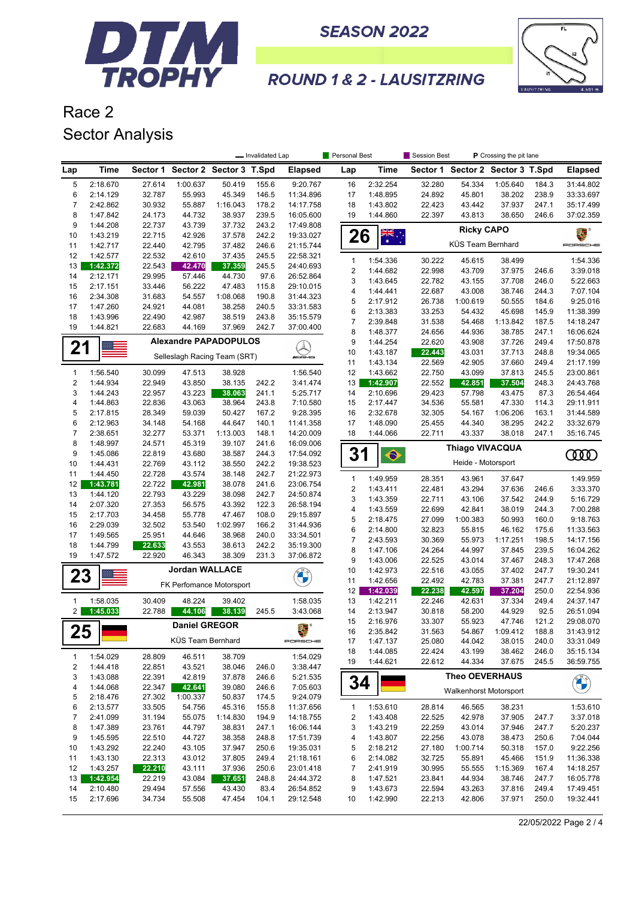



### **ROUND 1 & 2 - LAUSITZRING**

# Race 2 Sector Analysis

|                         |                      |                  |                              |                              | - Invalidated Lap |                        | Personal Best                  |                      | Session Best     |                               | P Crossing the pit lane |       |                        |
|-------------------------|----------------------|------------------|------------------------------|------------------------------|-------------------|------------------------|--------------------------------|----------------------|------------------|-------------------------------|-------------------------|-------|------------------------|
| Lap                     | <b>Time</b>          | Sector 1         |                              | Sector 2 Sector 3 T.Spd      |                   | <b>Elapsed</b>         | Lap                            | <b>Time</b>          | Sector 1         | Sector 2 Sector 3 T.Spd       |                         |       | <b>Elapsed</b>         |
| 5                       | 2:18.670             | 27.614           | 1:00.637                     | 50.419                       | 155.6             | 9:20.767               | 16                             | 2:32.254             | 32.280           | 54.334                        | 1:05.640                | 184.3 | 31:44.802              |
| 6                       | 2:14.129             | 32.787           | 55.993                       | 45.349                       | 146.5             | 11:34.896              | 17                             | 1:48.895             | 24.892           | 45.801                        | 38.202                  | 238.9 | 33:33.697              |
| $\overline{7}$          | 2:42.862             | 30.932           | 55.887                       | 1:16.043                     | 178.2             | 14:17.758              | 18                             | 1:43.802             | 22.423           | 43.442                        | 37.937                  | 247.1 | 35:17.499              |
| 8                       | 1:47.842             | 24.173           | 44.732                       | 38.937                       | 239.5             | 16:05.600              | 19                             | 1:44.860             | 22.397           | 43.813                        | 38.650                  | 246.6 | 37:02.359              |
| 9                       | 1:44.208             | 22.737           | 43.739                       | 37.732                       | 243.2             | 17:49.808              |                                |                      |                  |                               |                         |       |                        |
| 10                      | 1:43.219             | 22.715           | 42.926                       | 37.578                       | 242.2             | 19:33.027              | 26                             | $\frac{1}{2}$        |                  | <b>Ricky CAPO</b>             |                         |       | 2. °                   |
| 11                      | 1:42.717             | 22.440           | 42.795                       | 37.482                       | 246.6             | 21:15.744              |                                |                      |                  | KÜS Team Bernhard             |                         |       | PORSCHE                |
| 12                      | 1:42.577             | 22.532           | 42.610                       | 37.435                       | 245.5             | 22:58.321              |                                |                      |                  |                               |                         |       |                        |
| 13                      | 1:42.372             | 22.543           | 42.470                       | 37.359                       | 245.5             | 24:40.693              | $\mathbf{1}$<br>$\overline{c}$ | 1:54.336<br>1:44.682 | 30.222<br>22.998 | 45.615<br>43.709              | 38.499<br>37.975        | 246.6 | 1:54.336<br>3:39.018   |
| 14                      | 2:12.171             | 29.995           | 57.446                       | 44.730                       | 97.6              | 26:52.864              | 3                              | 1:43.645             | 22.782           | 43.155                        | 37.708                  | 246.0 | 5:22.663               |
| 15                      | 2:17.151             | 33.446           | 56.222                       | 47.483                       | 115.8             | 29:10.015              | 4                              | 1:44.441             | 22.687           | 43.008                        | 38.746                  | 244.3 | 7:07.104               |
| 16                      | 2:34.308             | 31.683           | 54.557                       | 1:08.068                     | 190.8             | 31:44.323              | 5                              | 2:17.912             | 26.738           | 1:00.619                      | 50.555                  | 184.6 | 9:25.016               |
| 17                      | 1:47.260             | 24.921           | 44.081                       | 38.258                       | 240.5             | 33:31.583              | 6                              | 2:13.383             | 33.253           | 54.432                        | 45.698                  | 145.9 | 11:38.399              |
| 18                      | 1:43.996             | 22.490           | 42.987                       | 38.519                       | 243.8             | 35:15.579              | $\overline{7}$                 | 2:39.848             | 31.538           | 54.468                        | 1:13.842                | 187.5 | 14:18.247              |
| 19                      | 1:44.821             | 22.683           | 44.169                       | 37.969                       | 242.7             | 37:00.400              | 8                              | 1:48.377             | 24.656           | 44.936                        | 38.785                  | 247.1 | 16:06.624              |
|                         |                      |                  |                              | <b>Alexandre PAPADOPULOS</b> |                   |                        | 9                              | 1:44.254             | 22.620           | 43.908                        | 37.726                  | 249.4 | 17:50.878              |
| 21                      |                      |                  | Selleslagh Racing Team (SRT) |                              |                   |                        | 10                             | 1:43.187             | 22.443           | 43.031                        | 37.713                  | 248.8 | 19:34.065              |
|                         |                      |                  |                              |                              |                   | <b><i>INNE</i></b>     | 11                             | 1:43.134             | 22.569           | 42.905                        | 37.660                  | 249.4 | 21:17.199              |
| 1                       | 1:56.540             | 30.099           | 47.513                       | 38.928                       |                   | 1:56.540               | 12                             | 1:43.662             | 22.750           | 43.099                        | 37.813                  | 245.5 | 23:00.861              |
| $\overline{2}$          | 1:44.934             | 22.949           | 43.850                       | 38.135                       | 242.2             | 3:41.474               | 13                             | 1:42.907             | 22.552           | 42.851                        | 37.504                  | 248.3 | 24:43.768              |
| 3                       | 1:44.243             | 22.957           | 43.223                       | 38.063                       | 241.1             | 5:25.717               | 14                             | 2:10.696             | 29.423           | 57.798                        | 43.475                  | 87.3  | 26:54.464              |
| 4                       | 1:44.863             | 22.836           | 43.063                       | 38.964                       | 243.8             | 7:10.580               | 15                             | 2:17.447             | 34.536           | 55.581                        | 47.330                  | 114.3 | 29:11.911              |
| 5                       | 2:17.815             | 28.349           | 59.039                       | 50.427                       | 167.2             | 9:28.395               | 16                             | 2:32.678             | 32.305           | 54.167                        | 1:06.206                | 163.1 | 31:44.589              |
| 6                       | 2:12.963             | 34.148           | 54.168                       | 44.647                       | 140.1             | 11:41.358              | 17                             | 1:48.090             | 25.455           | 44.340                        | 38.295                  | 242.2 | 33:32.679              |
| $\overline{7}$          | 2:38.651             | 32.277           | 53.371                       | 1:13.003                     | 148.1             | 14:20.009              | 18                             | 1:44.066             | 22.711           | 43.337                        | 38.018                  | 247.1 | 35:16.745              |
| 8                       | 1:48.997             | 24.571           | 45.319                       | 39.107                       | 241.6             | 16:09.006              |                                |                      |                  | <b>Thiago VIVACQUA</b>        |                         |       |                        |
| 9                       | 1:45.086             | 22.819           | 43.680                       | 38.587                       | 244.3             | 17:54.092              | 31                             | $\bullet$            |                  |                               |                         |       | <b>COOD</b>            |
| 10                      | 1:44.431             | 22.769           | 43.112                       | 38.550                       | 242.2             | 19:38.523              |                                |                      |                  | Heide - Motorsport            |                         |       |                        |
| 11                      | 1:44.450             | 22.728           | 43.574                       | 38.148                       | 242.7             | 21:22.973              | $\mathbf{1}$                   | 1:49.959             | 28.351           | 43.961                        | 37.647                  |       | 1:49.959               |
| 12                      | 1:43.781             | 22.722           | 42.981                       | 38.078                       | 241.6             | 23:06.754              | $\overline{c}$                 | 1:43.411             | 22.481           | 43.294                        | 37.636                  | 246.6 | 3:33.370               |
| 13                      | 1:44.120             | 22.793           | 43.229                       | 38.098                       | 242.7             | 24:50.874              | 3                              | 1:43.359             | 22.711           | 43.106                        | 37.542                  | 244.9 | 5:16.729               |
| 14                      | 2:07.320             | 27.353           | 56.575                       | 43.392                       | 122.3             | 26:58.194              | 4                              | 1:43.559             | 22.699           | 42.841                        | 38.019                  | 244.3 | 7:00.288               |
| 15                      | 2:17.703             | 34.458           | 55.778                       | 47.467                       | 108.0             | 29:15.897              | 5                              | 2:18.475             | 27.099           | 1:00.383                      | 50.993                  | 160.0 | 9:18.763               |
| 16                      | 2:29.039             | 32.502           | 53.540                       | 1:02.997                     | 166.2             | 31:44.936              | 6                              | 2:14.800             | 32.823           | 55.815                        | 46.162                  | 175.6 | 11:33.563              |
| 17<br>18                | 1:49.565<br>1:44.799 | 25.951           | 44.646<br>43.553             | 38.968<br>38.613             | 240.0<br>242.2    | 33:34.501<br>35:19.300 | 7                              | 2:43.593             | 30.369           | 55.973                        | 1:17.251                | 198.5 | 14:17.156              |
| 19                      | 1:47.572             | 22.633<br>22.920 | 46.343                       | 38.309                       | 231.3             | 37:06.872              | 8                              | 1:47.106             | 24.264           | 44.997                        | 37.845                  | 239.5 | 16:04.262              |
|                         |                      |                  |                              |                              |                   |                        | 9                              | 1:43.006             | 22.525           | 43.014                        | 37.467                  | 248.3 | 17:47.268              |
| 23                      |                      |                  | <b>Jordan WALLACE</b>        |                              |                   |                        | 10                             | 1:42.973             | 22.516           | 43.055                        | 37.402                  | 247.7 | 19:30.241              |
|                         |                      |                  |                              | FK Perfomance Motorsport     |                   |                        | 11                             | 1:42.656             | 22.492           | 42.783                        | 37.381                  | 247.7 | 21:12.897              |
|                         |                      |                  |                              |                              |                   |                        | 12                             | 1:42.039             | 22.238           | 42.597                        | 37.204                  | 250.0 | 22:54.936              |
| $\mathbf{1}$            | 1:58.035             | 30.409           | 48.224                       | 39.402                       |                   | 1:58.035               | 13                             | 1:42.211             | 22.246           | 42.631                        | 37.334                  | 249.4 | 24:37.147              |
| $\mathbf{2}$            | 1:45.033             | 22.788           | 44.106                       | 38.139                       | 245.5             | 3:43.068               | 14                             | 2:13.947             | 30.818           | 58.200                        | 44.929                  | 92.5  | 26:51.094              |
|                         |                      |                  | <b>Daniel GREGOR</b>         |                              |                   | E.                     | 15                             | 2:16.976             | 33.307           | 55.923                        | 47.746                  | 121.2 | 29:08.070              |
| 25                      |                      |                  | KÜS Team Bernhard            |                              |                   |                        | 16                             | 2:35.842             | 31.563           |                               | 54.867 1:09.412         | 188.8 | 31:43.912              |
|                         |                      |                  |                              |                              |                   | PORSCHE                | 17                             | 1:47.137             | 25.080           | 44.042                        | 38.015                  | 240.0 | 33:31.049              |
| $\mathbf{1}$            | 1:54.029             | 28.809           | 46.511                       | 38.709                       |                   | 1:54.029               | 18                             | 1:44.085<br>1:44.621 | 22.424<br>22.612 | 43.199<br>44.334              | 38.462<br>37.675        | 246.0 | 35:15.134<br>36:59.755 |
| $\overline{\mathbf{c}}$ | 1:44.418             | 22.851           | 43.521                       | 38.046                       | 246.0             | 3:38.447               | 19                             |                      |                  |                               |                         | 245.5 |                        |
| 3                       | 1:43.088             | 22.391           | 42.819                       | 37.878                       | 246.6             | 5:21.535               | 34                             |                      |                  | <b>Theo OEVERHAUS</b>         |                         |       |                        |
| 4                       | 1:44.068             | 22.347           | 42.641                       | 39.080                       | 246.6             | 7:05.603               |                                |                      |                  | <b>Walkenhorst Motorsport</b> |                         |       | <b>CHANGE</b>          |
| 5                       | 2:18.476             | 27.302           | 1:00.337                     | 50.837                       | 174.5             | 9:24.079               |                                |                      |                  |                               |                         |       |                        |
| 6                       | 2:13.577             | 33.505           | 54.756                       | 45.316                       | 155.8             | 11:37.656              | 1                              | 1:53.610             | 28.814           | 46.565                        | 38.231                  |       | 1:53.610               |
| $\overline{7}$          | 2:41.099             | 31.194           | 55.075                       | 1:14.830                     | 194.9             | 14:18.755              | 2                              | 1:43.408             | 22.525           | 42.978                        | 37.905                  | 247.7 | 3:37.018               |
| 8                       | 1:47.389             | 23.761           | 44.797                       | 38.831                       | 247.1             | 16:06.144              | 3                              | 1:43.219             | 22.259           | 43.014                        | 37.946                  | 247.7 | 5:20.237               |
| 9                       | 1:45.595             | 22.510           | 44.727                       | 38.358                       | 248.8             | 17:51.739              | 4                              | 1:43.807             | 22.256           | 43.078                        | 38.473                  | 250.6 | 7:04.044               |
| 10                      | 1:43.292             | 22.240           | 43.105                       | 37.947                       | 250.6             | 19:35.031              | 5                              | 2:18.212             | 27.180           | 1:00.714                      | 50.318                  | 157.0 | 9:22.256               |
| 11                      | 1:43.130             | 22.313           | 43.012                       | 37.805                       | 249.4             | 21:18.161              | 6                              | 2:14.082             | 32.725           | 55.891                        | 45.466                  | 151.9 | 11:36.338              |
| 12                      | 1:43.257             | 22.210           | 43.111                       | 37.936                       | 250.6             | 23:01.418              | 7                              | 2:41.919             | 30.995           | 55.555                        | 1:15.369                | 167.4 | 14:18.257              |
| 13                      | 1:42.954             | 22.219           | 43.084                       | 37.651                       | 248.8             | 24:44.372              | 8                              | 1:47.521             | 23.841           | 44.934                        | 38.746                  | 247.7 | 16:05.778              |
| 14                      | 2:10.480             | 29.494           | 57.556                       | 43.430                       | 83.4              | 26:54.852              | 9                              | 1:43.673             | 22.594           | 43.263                        | 37.816                  | 249.4 | 17:49.451              |
| 15                      | 2:17.696             | 34.734           | 55.508                       | 47.454                       | 104.1             | 29:12.548              | 10                             | 1:42.990             | 22.213           | 42.806                        | 37.971                  | 250.0 | 19:32.441              |

22/05/2022 Page 2 / 4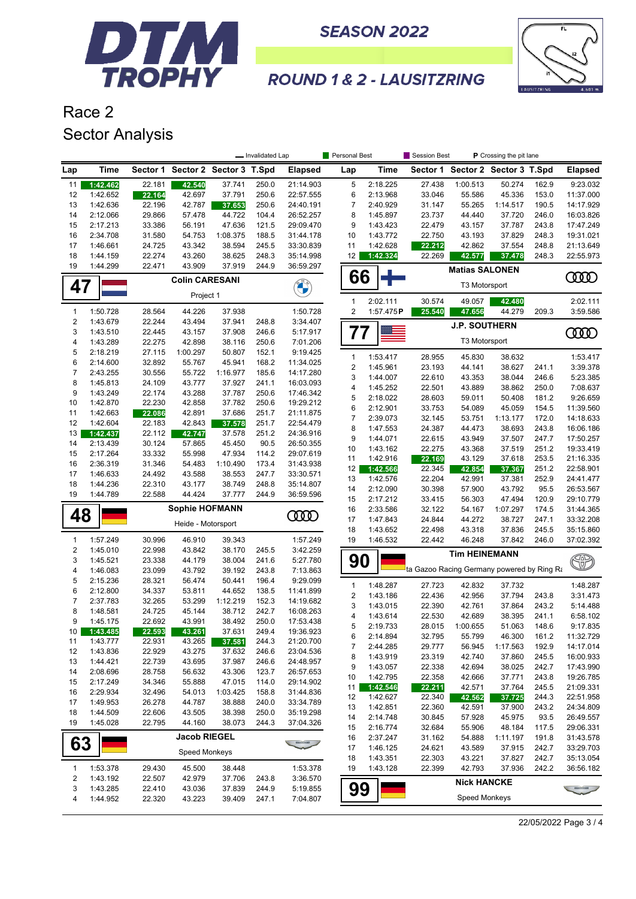



### **ROUND 1 & 2 - LAUSITZRING**

Race 2 Sector Analysis

|                         |                      |                  |                                  |                  | - Invalidated Lap |                        | Personal Best  |                      | Session Best                               | P Crossing the pit lane          |                    |                |                        |
|-------------------------|----------------------|------------------|----------------------------------|------------------|-------------------|------------------------|----------------|----------------------|--------------------------------------------|----------------------------------|--------------------|----------------|------------------------|
| Lap                     | <b>Time</b>          |                  | Sector 1 Sector 2 Sector 3 T.Spd |                  |                   | <b>Elapsed</b>         | Lap            | Time                 |                                            | Sector 1 Sector 2 Sector 3 T.Spd |                    |                | <b>Elapsed</b>         |
| 11                      | 1:42.462             | 22.181           | 42.540                           | 37.741           | 250.0             | 21:14.903              | 5              | 2:18.225             | 27.438                                     | 1:00.513                         | 50.274             | 162.9          | 9:23.032               |
| 12                      | 1:42.652             | 22.164           | 42.697                           | 37.791           | 250.6             | 22:57.555              | 6              | 2:13.968             | 33.046                                     | 55.586                           | 45.336             | 153.0          | 11:37.000              |
| 13                      | 1:42.636             | 22.196           | 42.787                           | 37.653           | 250.6             | 24:40.191              | 7              | 2:40.929             | 31.147                                     | 55.265                           | 1:14.517           | 190.5          | 14:17.929              |
| 14                      | 2:12.066             | 29.866           | 57.478                           | 44.722           | 104.4             | 26:52.257              | 8              | 1:45.897             | 23.737                                     | 44.440                           | 37.720             | 246.0          | 16:03.826              |
| 15                      | 2:17.213             | 33.386           | 56.191                           | 47.636           | 121.5             | 29:09.470              | 9              | 1:43.423             | 22.479                                     | 43.157                           | 37.787             | 243.8          | 17:47.249              |
| 16                      | 2:34.708             | 31.580           | 54.753                           | 1:08.375         | 188.5             | 31:44.178              | 10             | 1:43.772             | 22.750                                     | 43.193                           | 37.829             | 248.3          | 19:31.021              |
| 17<br>18                | 1:46.661<br>1:44.159 | 24.725<br>22.274 | 43.342<br>43.260                 | 38.594<br>38.625 | 245.5<br>248.3    | 33:30.839<br>35:14.998 | 11<br>12       | 1:42.628<br>1:42.324 | 22.212<br>22.269                           | 42.862<br>42.577                 | 37.554             | 248.8<br>248.3 | 21:13.649<br>22:55.973 |
| 19                      | 1:44.299             | 22.471           | 43.909                           | 37.919           | 244.9             | 36:59.297              |                |                      |                                            |                                  | 37.478             |                |                        |
|                         |                      |                  | <b>Colin CARESANI</b>            |                  |                   |                        | 66             |                      |                                            | <b>Matias SALONEN</b>            |                    |                | ഝ                      |
| 47                      |                      |                  |                                  |                  |                   |                        |                |                      |                                            | T3 Motorsport                    |                    |                |                        |
|                         |                      |                  | Project 1                        |                  |                   |                        | $\mathbf{1}$   | 2:02.111             | 30.574                                     | 49.057                           | 42.480             |                | 2:02.111               |
| $\mathbf{1}$            | 1:50.728             | 28.564           | 44.226                           | 37.938           |                   | 1:50.728               | $\overline{2}$ | 1:57.475P            | 25.540                                     | 47.656                           | 44.279             | 209.3          | 3:59.586               |
| $\boldsymbol{2}$        | 1:43.679             | 22.244           | 43.494                           | 37.941           | 248.8             | 3:34.407               |                |                      |                                            | <b>J.P. SOUTHERN</b>             |                    |                |                        |
| 3<br>4                  | 1:43.510             | 22.445           | 43.157                           | 37.908           | 246.6             | 5:17.917               | 77             |                      |                                            | T3 Motorsport                    |                    |                | <b>COOD</b>            |
| 5                       | 1:43.289<br>2:18.219 | 22.275<br>27.115 | 42.898<br>1:00.297               | 38.116<br>50.807 | 250.6<br>152.1    | 7:01.206<br>9:19.425   |                |                      |                                            |                                  |                    |                |                        |
| 6                       | 2:14.600             | 32.892           | 55.767                           | 45.941           | 168.2             | 11:34.025              | $\mathbf{1}$   | 1:53.417             | 28.955                                     | 45.830                           | 38.632             |                | 1:53.417               |
| $\boldsymbol{7}$        | 2:43.255             | 30.556           | 55.722                           | 1:16.977         | 185.6             | 14:17.280              | 2              | 1:45.961             | 23.193                                     | 44.141                           | 38.627             | 241.1          | 3:39.378               |
| 8                       | 1:45.813             | 24.109           | 43.777                           | 37.927           | 241.1             | 16:03.093              | 3              | 1:44.007             | 22.610                                     | 43.353                           | 38.044             | 246.6          | 5:23.385               |
| 9                       | 1:43.249             | 22.174           | 43.288                           | 37.787           | 250.6             | 17:46.342              | 4              | 1:45.252             | 22.501                                     | 43.889                           | 38.862             | 250.0          | 7:08.637               |
| 10                      | 1:42.870             | 22.230           | 42.858                           | 37.782           | 250.6             | 19:29.212              | 5              | 2:18.022             | 28.603                                     | 59.011                           | 50.408             | 181.2          | 9:26.659               |
| 11                      | 1:42.663             | 22.086           | 42.891                           | 37.686           | 251.7             | 21:11.875              | 6<br>7         | 2:12.901<br>2:39.073 | 33.753<br>32.145                           | 54.089<br>53.751                 | 45.059<br>1:13.177 | 154.5<br>172.0 | 11:39.560<br>14:18.633 |
| 12                      | 1:42.604             | 22.183           | 42.843                           | 37.578           | 251.7             | 22:54.479              | 8              | 1:47.553             | 24.387                                     | 44.473                           | 38.693             | 243.8          | 16:06.186              |
| 13                      | 1:42.437             | 22.112           | 42.747                           | 37.578           | 251.2             | 24:36.916              | 9              | 1:44.071             | 22.615                                     | 43.949                           | 37.507             | 247.7          | 17:50.257              |
| 14                      | 2:13.439             | 30.124           | 57.865                           | 45.450           | 90.5              | 26:50.355              | 10             | 1:43.162             | 22.275                                     | 43.368                           | 37.519             | 251.2          | 19:33.419              |
| 15                      | 2:17.264             | 33.332           | 55.998                           | 47.934           | 114.2             | 29:07.619              | 11             | 1:42.916             | 22.169                                     | 43.129                           | 37.618             | 253.5          | 21:16.335              |
| 16                      | 2:36.319             | 31.346           | 54.483                           | 1:10.490         | 173.4             | 31:43.938              | 12             | 1:42.566             | 22.345                                     | 42.854                           | 37.367             | 251.2          | 22:58.901              |
| 17                      | 1:46.633             | 24.492           | 43.588                           | 38.553           | 247.7             | 33:30.571              | 13             | 1:42.576             | 22.204                                     | 42.991                           | 37.381             | 252.9          | 24:41.477              |
| 18                      | 1:44.236             | 22.310           | 43.177                           | 38.749           | 248.8             | 35:14.807              | 14             | 2:12.090             | 30.398                                     | 57.900                           | 43.792             | 95.5           | 26:53.567              |
| 19                      | 1:44.789             | 22.588           | 44.424                           | 37.777           | 244.9             | 36:59.596              | 15             | 2:17.212             | 33.415                                     | 56.303                           | 47.494             | 120.9          | 29:10.779              |
| 48                      |                      |                  | <b>Sophie HOFMANN</b>            |                  |                   | <b>COOD</b>            | 16             | 2:33.586             | 32.122                                     | 54.167                           | 1:07.297           | 174.5          | 31:44.365              |
|                         |                      |                  | Heide - Motorsport               |                  |                   |                        | 17             | 1:47.843             | 24.844                                     | 44.272                           | 38.727             | 247.1          | 33:32.208              |
|                         |                      |                  |                                  |                  |                   |                        | 18             | 1:43.652             | 22.498                                     | 43.318                           | 37.836             | 245.5          | 35:15.860              |
| $\mathbf{1}$            | 1:57.249             | 30.996           | 46.910                           | 39.343           |                   | 1:57.249               | 19             | 1:46.532             | 22.442                                     | 46.248                           | 37.842             | 246.0          | 37:02.392              |
| $\boldsymbol{2}$<br>3   | 1:45.010<br>1:45.521 | 22.998<br>23.338 | 43.842<br>44.179                 | 38.170<br>38.004 | 245.5<br>241.6    | 3:42.259<br>5:27.780   |                |                      |                                            | <b>Tim HEINEMANN</b>             |                    |                |                        |
| $\overline{\mathbf{4}}$ | 1:46.083             | 23.099           | 43.792                           | 39.192           | 243.8             | 7:13.863               | 90             |                      | ta Gazoo Racing Germany powered by Ring Ra |                                  |                    |                | $\circledR$            |
| 5                       | 2:15.236             | 28.321           | 56.474                           | 50.441           | 196.4             | 9:29.099               |                |                      |                                            |                                  |                    |                |                        |
| 6                       | 2:12.800             | 34.337           | 53.811                           | 44.652           | 138.5             | 11:41.899              | 1              | 1:48.287             | 27.723                                     | 42.832                           | 37.732             |                | 1:48.287               |
| 7                       | 2:37.783             | 32.265           | 53.299                           | 1:12.219         | 152.3             | 14:19.682              | 2              | 1:43.186             | 22.436                                     | 42.956                           | 37.794             | 243.8          | 3:31.473               |
| 8                       | 1:48.581             | 24.725           | 45.144                           | 38.712           | 242.7             | 16:08.263              | 3              | 1:43.015             | 22.390                                     | 42.761                           | 37.864             | 243.2          | 5:14.488               |
| 9                       | 1:45.175             | 22.692           | 43.991                           | 38.492           | 250.0             | 17:53.438              | 4<br>5         | 1:43.614             | 22.530                                     | 42.689                           | 38.395             | 241.1          | 6:58.102               |
| 10 <sup>1</sup>         | 1:43.485             | 22.593           | 43.261                           | 37.631           | 249.4             | 19:36.923              |                | 2:19.733             | 28.015<br>32.795                           | 1:00.655                         | 51.063<br>46.300   | 148.6          | 9:17.835<br>11:32.729  |
| 11                      | 1:43.777             | 22.931           | 43.265                           | 37.581           | 244.3             | 21:20.700              | 6<br>7         | 2:14.894<br>2:44.285 | 29.777                                     | 55.799<br>56.945                 | 1:17.563           | 161.2<br>192.9 | 14:17.014              |
| 12                      | 1:43.836             | 22.929           | 43.275                           | 37.632           | 246.6             | 23:04.536              | 8              | 1:43.919             | 23.319                                     | 42.740                           | 37.860             | 245.5          | 16:00.933              |
| 13                      | 1:44.421             | 22.739           | 43.695                           | 37.987           | 246.6             | 24:48.957              | 9              | 1:43.057             | 22.338                                     | 42.694                           | 38.025             | 242.7          | 17:43.990              |
| 14                      | 2:08.696             | 28.758           | 56.632                           | 43.306           | 123.7             | 26:57.653              | 10             | 1:42.795             | 22.358                                     | 42.666                           | 37.771             | 243.8          | 19:26.785              |
| 15                      | 2:17.249             | 34.346           | 55.888                           | 47.015           | 114.0             | 29:14.902              | 11             | 1:42.546             | 22.211                                     | 42.571                           | 37.764             | 245.5          | 21:09.331              |
| 16                      | 2:29.934             | 32.496           | 54.013                           | 1:03.425         | 158.8             | 31:44.836              | 12             | 1:42.627             | 22.340                                     | 42.562                           | 37.725             | 244.3          | 22:51.958              |
| 17                      | 1:49.953             | 26.278           | 44.787                           | 38.888           | 240.0             | 33:34.789              | 13             | 1:42.851             | 22.360                                     | 42.591                           | 37.900             | 243.2          | 24:34.809              |
| 18                      | 1:44.509             | 22.606           | 43.505                           | 38.398           | 250.0             | 35:19.298              | 14             | 2:14.748             | 30.845                                     | 57.928                           | 45.975             | 93.5           | 26:49.557              |
| 19                      | 1:45.028             | 22.795           | 44.160                           | 38.073           | 244.3             | 37:04.326              | 15             | 2:16.774             | 32.684                                     | 55.906                           | 48.184             | 117.5          | 29:06.331              |
|                         |                      |                  | <b>Jacob RIEGEL</b>              |                  |                   |                        | 16             | 2:37.247             | 31.162                                     | 54.888                           | 1:11.197           | 191.8          | 31:43.578              |
| 63                      |                      |                  | Speed Monkeys                    |                  |                   |                        | 17             | 1:46.125             | 24.621                                     | 43.589                           | 37.915             | 242.7          | 33:29.703              |
|                         |                      |                  |                                  |                  |                   |                        | 18             | 1:43.351             | 22.303                                     | 43.221                           | 37.827             | 242.7          | 35:13.054              |
| 1                       | 1:53.378             | 29.430           | 45.500                           | 38.448           |                   | 1:53.378               | 19             | 1:43.128             | 22.399                                     | 42.793                           | 37.936             | 242.2          | 36:56.182              |
| $\overline{\mathbf{c}}$ | 1:43.192             | 22.507           | 42.979                           | 37.706           | 243.8             | 3:36.570               |                |                      |                                            | <b>Nick HANCKE</b>               |                    |                |                        |
| 3                       | 1:43.285             | 22.410           | 43.036                           | 37.839           | 244.9             | 5:19.855               | 99             |                      |                                            |                                  |                    |                |                        |
| 4                       | 1:44.952             | 22.320           | 43.223                           | 39.409           | 247.1             | 7:04.807               |                |                      |                                            | Speed Monkeys                    |                    |                |                        |

22/05/2022 Page 3 / 4